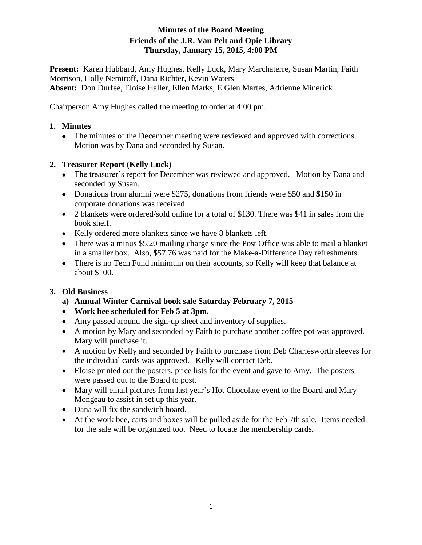# **Minutes of the Board Meeting Friends of the J.R. Van Pelt and Opie Library Thursday, January 15, 2015, 4:00 PM**

**Present:** Karen Hubbard, Amy Hughes, Kelly Luck, Mary Marchaterre, Susan Martin, Faith Morrison, Holly Nemiroff, Dana Richter, Kevin Waters **Absent:** Don Durfee, Eloise Haller, Ellen Marks, E Glen Martes, Adrienne Minerick

Chairperson Amy Hughes called the meeting to order at 4:00 pm.

### **1. Minutes**

• The minutes of the December meeting were reviewed and approved with corrections. Motion was by Dana and seconded by Susan.

# **2. Treasurer Report (Kelly Luck)**

- The treasurer's report for December was reviewed and approved. Motion by Dana and seconded by Susan.
- Donations from alumni were \$275, donations from friends were \$50 and \$150 in corporate donations was received.
- 2 blankets were ordered/sold online for a total of \$130. There was \$41 in sales from the book shelf.
- Kelly ordered more blankets since we have 8 blankets left.
- There was a minus \$5.20 mailing charge since the Post Office was able to mail a blanket in a smaller box. Also, \$57.76 was paid for the Make-a-Difference Day refreshments.
- There is no Tech Fund minimum on their accounts, so Kelly will keep that balance at about \$100.

# **3. Old Business**

- **a) Annual Winter Carnival book sale Saturday February 7, 2015**
- **Work bee scheduled for Feb 5 at 3pm.**
- Amy passed around the sign-up sheet and inventory of supplies.
- A motion by Mary and seconded by Faith to purchase another coffee pot was approved. Mary will purchase it.
- A motion by Kelly and seconded by Faith to purchase from Deb Charlesworth sleeves for the individual cards was approved. Kelly will contact Deb.
- Eloise printed out the posters, price lists for the event and gave to Amy. The posters were passed out to the Board to post.
- Mary will email pictures from last year's Hot Chocolate event to the Board and Mary Mongeau to assist in set up this year.
- Dana will fix the sandwich board.
- At the work bee, carts and boxes will be pulled aside for the Feb 7th sale. Items needed for the sale will be organized too. Need to locate the membership cards.